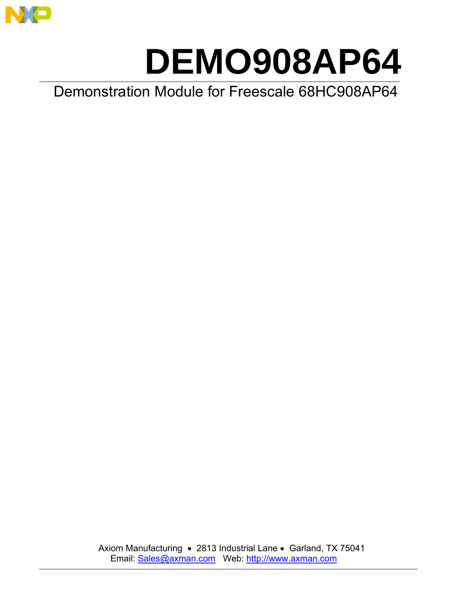

# **DEMO908AP64**

Demonstration Module for Freescale 68HC908AP64

Axiom Manufacturing • 2813 Industrial Lane • Garland, TX 75041 Email: Sales@axman.com Web: http://www.axman.com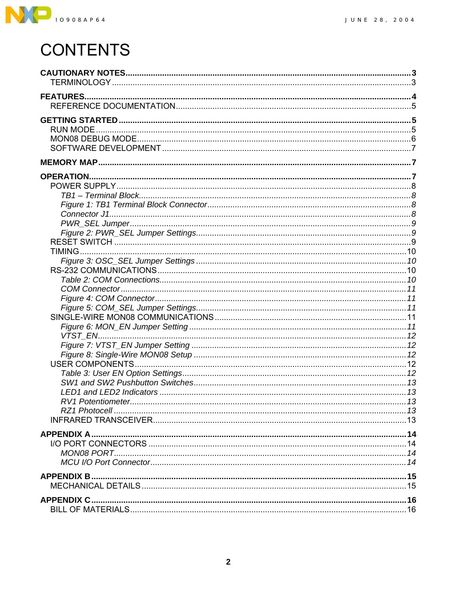

# **CONTENTS**

| <b>OPERATION.</b> |  |
|-------------------|--|
|                   |  |
|                   |  |
|                   |  |
|                   |  |
|                   |  |
|                   |  |
|                   |  |
|                   |  |
|                   |  |
|                   |  |
|                   |  |
|                   |  |
|                   |  |
|                   |  |
|                   |  |
|                   |  |
|                   |  |
|                   |  |
|                   |  |
|                   |  |
|                   |  |
|                   |  |
|                   |  |
|                   |  |
|                   |  |
|                   |  |
|                   |  |
|                   |  |
|                   |  |
|                   |  |
|                   |  |
|                   |  |
|                   |  |
| <b>APPENDIX C</b> |  |
|                   |  |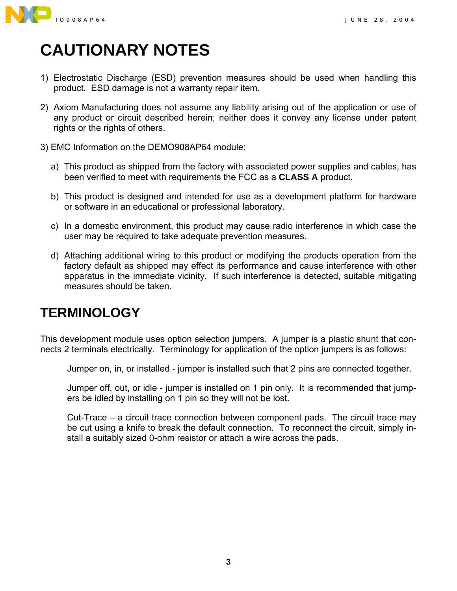

# <span id="page-2-0"></span>**CAUTIONARY NOTES**

- 1) Electrostatic Discharge (ESD) prevention measures should be used when handling this product. ESD damage is not a warranty repair item.
- 2) Axiom Manufacturing does not assume any liability arising out of the application or use of any product or circuit described herein; neither does it convey any license under patent rights or the rights of others.
- 3) EMC Information on the DEMO908AP64 module:
	- a) This product as shipped from the factory with associated power supplies and cables, has been verified to meet with requirements the FCC as a **CLASS A** product.
	- b) This product is designed and intended for use as a development platform for hardware or software in an educational or professional laboratory.
	- c) In a domestic environment, this product may cause radio interference in which case the user may be required to take adequate prevention measures.
	- d) Attaching additional wiring to this product or modifying the products operation from the factory default as shipped may effect its performance and cause interference with other apparatus in the immediate vicinity. If such interference is detected, suitable mitigating measures should be taken.

# <span id="page-2-1"></span>**TERMINOLOGY**

This development module uses option selection jumpers. A jumper is a plastic shunt that connects 2 terminals electrically. Terminology for application of the option jumpers is as follows:

Jumper on, in, or installed - jumper is installed such that 2 pins are connected together.

Jumper off, out, or idle - jumper is installed on 1 pin only. It is recommended that jumpers be idled by installing on 1 pin so they will not be lost.

Cut-Trace  $-$  a circuit trace connection between component pads. The circuit trace may be cut using a knife to break the default connection. To reconnect the circuit, simply install a suitably sized 0-ohm resistor or attach a wire across the pads.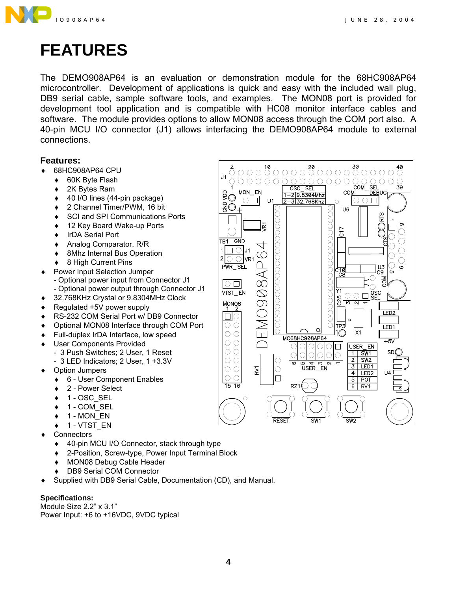

# <span id="page-3-0"></span>**FEATURES**

The DEMO908AP64 is an evaluation or demonstration module for the 68HC908AP64 microcontroller. Development of applications is quick and easy with the included wall plug, DB9 serial cable, sample software tools, and examples. The MON08 port is provided for development tool application and is compatible with HC08 monitor interface cables and software. The module provides options to allow MON08 access through the COM port also. A 40-pin MCU I/O connector (J1) allows interfacing the DEMO908AP64 module to external connections.

#### **Features:**

- ♦ 68HC908AP64 CPU
	- 60K Byte Flash
	- ♦ 2K Bytes Ram
	- ♦ 40 I/O lines (44-pin package)
	- ♦ 2 Channel Timer/PWM, 16 bit
	- ♦ SCI and SPI Communications Ports
	- ♦ 12 Key Board Wake-up Ports
	- ♦ IrDA Serial Port
	- ♦ Analog Comparator, R/R
	- ♦ 8Mhz Internal Bus Operation
	- ◆ 8 High Current Pins
- ♦ Power Input Selection Jumper - Optional power input from Connector J1 - Optional power output through Connector J1
- ♦ 32.768KHz Crystal or 9.8304MHz Clock
- Regulated +5V power supply
- RS-232 COM Serial Port w/ DB9 Connector
- Optional MON08 Interface through COM Port
- Full-duplex IrDA Interface, low speed
- User Components Provided
	- 3 Push Switches; 2 User, 1 Reset
	- 3 LED Indicators; 2 User, 1 +3.3V
- Option Jumpers
	- ♦ 6 User Component Enables
	- 2 Power Select
	- $\triangleleft$  1 OSC\_SEL
	- $\div$  1 COM SEL
	- $\triangleleft$  1 MON EN
	- $\bullet$  1 VTST\_EN
- Connectors
	- ♦ 40-pin MCU I/O Connector, stack through type
	- ♦ 2-Position, Screw-type, Power Input Terminal Block
	- MON08 Debug Cable Header
	- DB9 Serial COM Connector
- Supplied with DB9 Serial Cable, Documentation (CD), and Manual.

#### **Specifications:**

Module Size  $2.2$ <sup>"</sup>  $\times$   $3.1$ " Power Input: +6 to +16VDC, 9VDC typical

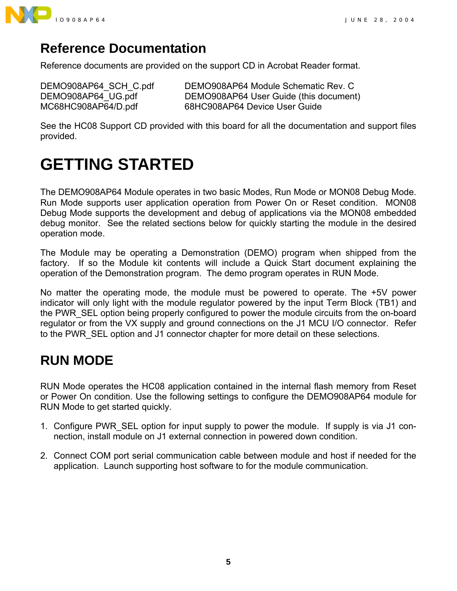

## <span id="page-4-0"></span>**Reference Documentation**

Reference documents are provided on the support CD in Acrobat Reader format.

DEMO908AP64 SCH C.pdf DEMO908AP64 Module Schematic Rev. C DEMO908AP64 UG.pdf DEMO908AP64 User Guide (this document) MC68HC908AP64/D.pdf 68HC908AP64 Device User Guide

See the HC08 Support CD provided with this board for all the documentation and support files provided.

# <span id="page-4-1"></span>**GETTING STARTED**

The DEMO908AP64 Module operates in two basic Modes, Run Mode or MON08 Debug Mode. Run Mode supports user application operation from Power On or Reset condition. MON08 Debug Mode supports the development and debug of applications via the MON08 embedded debug monitor. See the related sections below for quickly starting the module in the desired operation mode.

The Module may be operating a Demonstration (DEMO) program when shipped from the factory. If so the Module kit contents will include a Quick Start document explaining the operation of the Demonstration program. The demo program operates in RUN Mode.

No matter the operating mode, the module must be powered to operate. The +5V power indicator will only light with the module regulator powered by the input Term Block (TB1) and the PWR\_SEL option being properly configured to power the module circuits from the on-board regulator or from the VX supply and ground connections on the J1 MCU I/O connector. Refer to the PWR SEL option and J1 connector chapter for more detail on these selections.

# <span id="page-4-2"></span>**RUN MODE**

RUN Mode operates the HC08 application contained in the internal flash memory from Reset or Power On condition. Use the following settings to configure the DEMO908AP64 module for RUN Mode to get started quickly.

- 1. Configure PWR\_SEL option for input supply to power the module. If supply is via J1 connection, install module on J1 external connection in powered down condition.
- 2. Connect COM port serial communication cable between module and host if needed for the application. Launch supporting host software to for the module communication.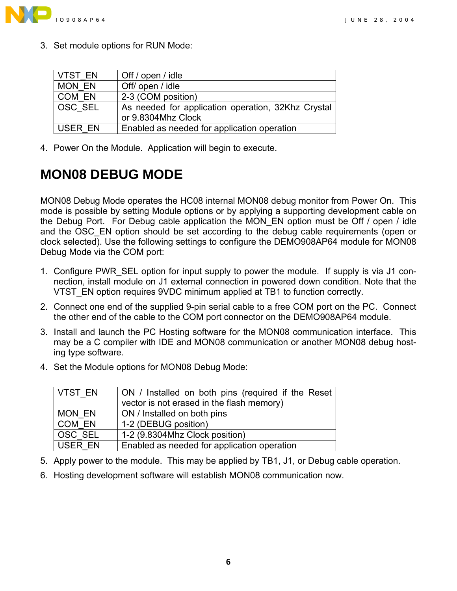

3. Set module options for RUN Mode:

| VTST EN        | Off / open / idle                                                        |
|----------------|--------------------------------------------------------------------------|
| MON EN         | Off/ open / idle                                                         |
| COM EN         | 2-3 (COM position)                                                       |
| <b>OSC SEL</b> | As needed for application operation, 32Khz Crystal<br>or 9.8304Mhz Clock |
| USER EN        | Enabled as needed for application operation                              |

4. Power On the Module. Application will begin to execute.

# <span id="page-5-0"></span>**MON08 DEBUG MODE**

MON08 Debug Mode operates the HC08 internal MON08 debug monitor from Power On. This mode is possible by setting Module options or by applying a supporting development cable on the Debug Port. For Debug cable application the MON\_EN option must be Off / open / idle and the OSC EN option should be set according to the debug cable requirements (open or clock selected). Use the following settings to configure the DEMO908AP64 module for MON08 Debug Mode via the COM port:

- 1. Configure PWR\_SEL option for input supply to power the module. If supply is via J1 connection, install module on J1 external connection in powered down condition. Note that the VTST\_EN option requires 9VDC minimum applied at TB1 to function correctly.
- 2. Connect one end of the supplied 9-pin serial cable to a free COM port on the PC. Connect the other end of the cable to the COM port connector on the DEMO908AP64 module.
- 3. Install and launch the PC Hosting software for the MON08 communication interface. This may be a C compiler with IDE and MON08 communication or another MON08 debug hosting type software.
- 4. Set the Module options for MON08 Debug Mode:

| VTST EN       | ON / Installed on both pins (required if the Reset |
|---------------|----------------------------------------------------|
|               | vector is not erased in the flash memory)          |
| <b>MON EN</b> | ON / Installed on both pins                        |
| COM EN        | 1-2 (DEBUG position)                               |
| OSC SEL       | 1-2 (9.8304Mhz Clock position)                     |
| USER EN       | Enabled as needed for application operation        |

- 5. Apply power to the module. This may be applied by TB1, J1, or Debug cable operation.
- 6. Hosting development software will establish MON08 communication now.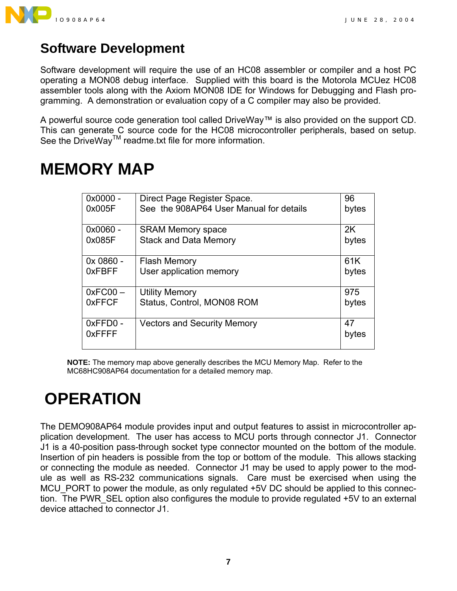

## <span id="page-6-0"></span>**Software Development**

Software development will require the use of an HC08 assembler or compiler and a host PC operating a MON08 debug interface. Supplied with this board is the Motorola MCUez HC08 assembler tools along with the Axiom MON08 IDE for Windows for Debugging and Flash programming. A demonstration or evaluation copy of a C compiler may also be provided.

A powerful source code generation tool called DriveWay™ is also provided on the support CD. This can generate C source code for the HC08 microcontroller peripherals, based on setup. See the DriveWay<sup>™</sup> readme.txt file for more information.

# <span id="page-6-1"></span>**MEMORY MAP**

| 0x0000 -                 | Direct Page Register Space.             | 96          |
|--------------------------|-----------------------------------------|-------------|
| 0x005F                   | See the 908AP64 User Manual for details | bytes       |
| 0x0060 -                 | <b>SRAM Memory space</b>                | 2K          |
| 0x085F                   | <b>Stack and Data Memory</b>            | bytes       |
| 0x 0860 -                | <b>Flash Memory</b>                     | 61K         |
| 0xFBFF                   | User application memory                 | bytes       |
| $0xFC00 -$               | <b>Utility Memory</b>                   | 975         |
| <b>OXFFCF</b>            | Status, Control, MON08 ROM              | bytes       |
| 0xFFD0-<br><b>OXFFFF</b> | <b>Vectors and Security Memory</b>      | 47<br>bytes |

**NOTE:** The memory map above generally describes the MCU Memory Map. Refer to the MC68HC908AP64 documentation for a detailed memory map.

# <span id="page-6-2"></span> **OPERATION**

The DEMO908AP64 module provides input and output features to assist in microcontroller application development. The user has access to MCU ports through connector J1. Connector J1 is a 40-position pass-through socket type connector mounted on the bottom of the module. Insertion of pin headers is possible from the top or bottom of the module. This allows stacking or connecting the module as needed. Connector J1 may be used to apply power to the module as well as RS-232 communications signals. Care must be exercised when using the MCU\_PORT to power the module, as only regulated +5V DC should be applied to this connection. The PWR SEL option also configures the module to provide regulated +5V to an external device attached to connector J1.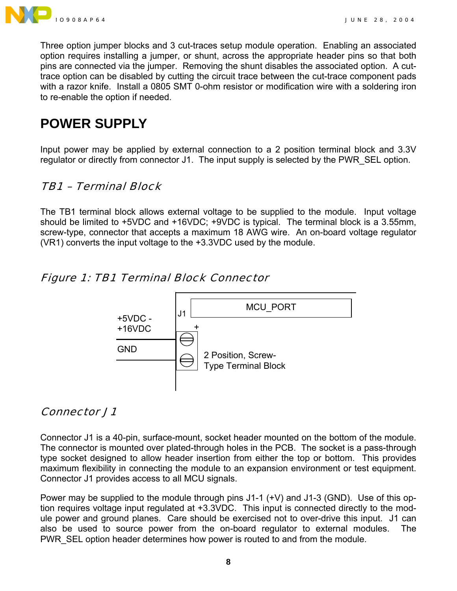

Three option jumper blocks and 3 cut-traces setup module operation. Enabling an associated option requires installing a jumper, or shunt, across the appropriate header pins so that both pins are connected via the jumper. Removing the shunt disables the associated option. A cuttrace option can be disabled by cutting the circuit trace between the cut-trace component pads with a razor knife. Install a 0805 SMT 0-ohm resistor or modification wire with a soldering iron to re-enable the option if needed.

# <span id="page-7-0"></span>**POWER SUPPLY**

Input power may be applied by external connection to a 2 position terminal block and 3.3V regulator or directly from connector J1. The input supply is selected by the PWR\_SEL option.

#### <span id="page-7-1"></span>TB1 – Terminal Block

The TB1 terminal block allows external voltage to be supplied to the module. Input voltage should be limited to +5VDC and +16VDC; +9VDC is typical. The terminal block is a 3.55mm, screw-type, connector that accepts a maximum 18 AWG wire. An on-board voltage regulator (VR1) converts the input voltage to the +3.3VDC used by the module.

#### <span id="page-7-2"></span>Figure 1: TB1 Terminal Block Connector



#### <span id="page-7-3"></span>Connector J1

Connector J1 is a 40-pin, surface-mount, socket header mounted on the bottom of the module. The connector is mounted over plated-through holes in the PCB. The socket is a pass-through type socket designed to allow header insertion from either the top or bottom. This provides maximum flexibility in connecting the module to an expansion environment or test equipment. Connector J1 provides access to all MCU signals.

Power may be supplied to the module through pins J1-1 (+V) and J1-3 (GND). Use of this option requires voltage input regulated at +3.3VDC. This input is connected directly to the module power and ground planes. Care should be exercised not to over-drive this input. J1 can also be used to source power from the on-board regulator to external modules. The PWR SEL option header determines how power is routed to and from the module.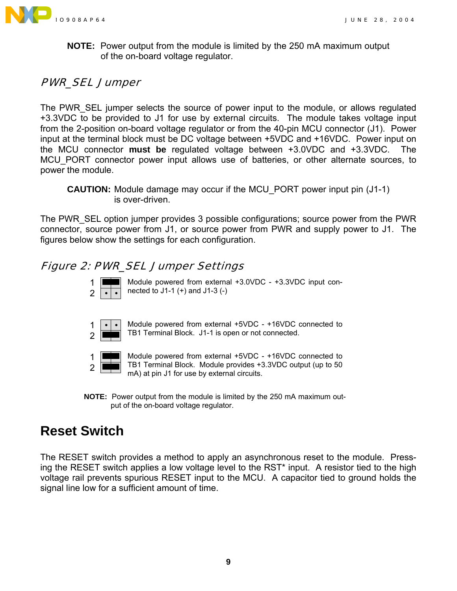

**NOTE:** Power output from the module is limited by the 250 mA maximum output of the on-board voltage regulator.

#### <span id="page-8-0"></span>PWR\_SEL Jumper

The PWR SEL jumper selects the source of power input to the module, or allows regulated +3.3VDC to be provided to J1 for use by external circuits. The module takes voltage input from the 2-position on-board voltage regulator or from the 40-pin MCU connector (J1). Power input at the terminal block must be DC voltage between +5VDC and +16VDC. Power input on the MCU connector **must be** regulated voltage between +3.0VDC and +3.3VDC. The MCU PORT connector power input allows use of batteries, or other alternate sources, to power the module.

**CAUTION:** Module damage may occur if the MCU\_PORT power input pin (J1-1) is over-driven.

The PWR\_SEL option jumper provides 3 possible configurations; source power from the PWR connector, source power from J1, or source power from PWR and supply power to J1. The figures below show the settings for each configuration.

#### <span id="page-8-1"></span>Figure 2: PWR\_SEL Jumper Settings



Module powered from external +3.0VDC - +3.3VDC input connected to J1-1 (+) and J1-3 (-)



Module powered from external +5VDC - +16VDC connected to TB1 Terminal Block. J1-1 is open or not connected.



Module powered from external +5VDC - +16VDC connected to TB1 Terminal Block. Module provides +3.3VDC output (up to 50 mA) at pin J1 for use by external circuits.

**NOTE:** Power output from the module is limited by the 250 mA maximum output of the on-board voltage regulator.

## <span id="page-8-2"></span>**Reset Switch**

The RESET switch provides a method to apply an asynchronous reset to the module. Pressing the RESET switch applies a low voltage level to the RST\* input. A resistor tied to the high voltage rail prevents spurious RESET input to the MCU. A capacitor tied to ground holds the signal line low for a sufficient amount of time.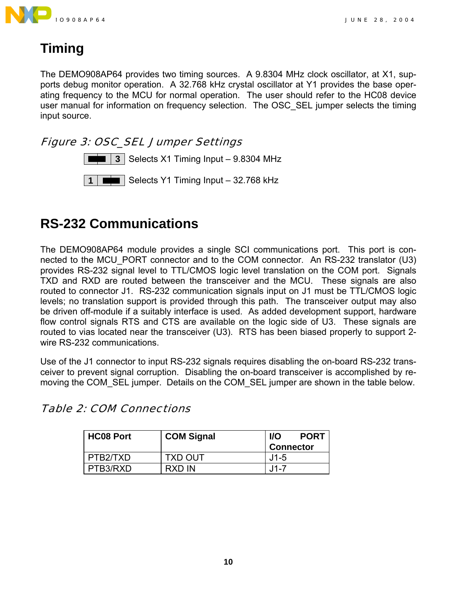

# <span id="page-9-0"></span>**Timing**

The DEMO908AP64 provides two timing sources. A 9.8304 MHz clock oscillator, at X1, supports debug monitor operation. A 32.768 kHz crystal oscillator at Y1 provides the base operating frequency to the MCU for normal operation. The user should refer to the HC08 device user manual for information on frequency selection. The OSC SEL jumper selects the timing input source.

#### <span id="page-9-1"></span>Figure 3: OSC\_SEL Jumper Settings



# <span id="page-9-2"></span>**RS-232 Communications**

The DEMO908AP64 module provides a single SCI communications port. This port is connected to the MCU\_PORT connector and to the COM connector. An RS-232 translator (U3) provides RS-232 signal level to TTL/CMOS logic level translation on the COM port. Signals TXD and RXD are routed between the transceiver and the MCU. These signals are also routed to connector J1. RS-232 communication signals input on J1 must be TTL/CMOS logic levels; no translation support is provided through this path. The transceiver output may also be driven off-module if a suitably interface is used. As added development support, hardware flow control signals RTS and CTS are available on the logic side of U3. These signals are routed to vias located near the transceiver (U3). RTS has been biased properly to support 2 wire RS-232 communications.

Use of the J1 connector to input RS-232 signals requires disabling the on-board RS-232 transceiver to prevent signal corruption. Disabling the on-board transceiver is accomplished by removing the COM SEL jumper. Details on the COM SEL jumper are shown in the table below.

| <b>HC08 Port</b> | <b>COM Signal</b> | <b>PORT</b><br><b>I/O</b><br><b>Connector</b> |
|------------------|-------------------|-----------------------------------------------|
| PTB2/TXD         | <b>TXD OUT</b>    | $.11 - 5$                                     |
| PTB3/RXD         | RXD IN            | J1-7                                          |

<span id="page-9-3"></span>Table 2: COM Connections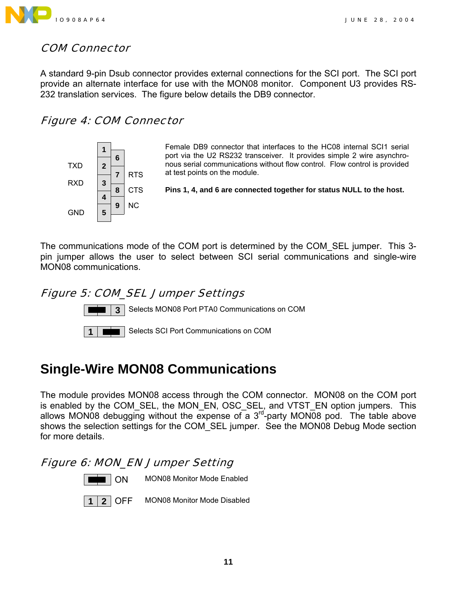

#### <span id="page-10-0"></span>COM Connector

A standard 9-pin Dsub connector provides external connections for the SCI port. The SCI port provide an alternate interface for use with the MON08 monitor. Component U3 provides RS-232 translation services. The figure below details the DB9 connector.

#### <span id="page-10-1"></span>Figure 4: COM Connector



Female DB9 connector that interfaces to the HC08 internal SCI1 serial port via the U2 RS232 transceiver. It provides simple 2 wire asynchronous serial communications without flow control. Flow control is provided at test points on the module.

**Pins 1, 4, and 6 are connected together for status NULL to the host.**

The communications mode of the COM port is determined by the COM\_SEL jumper. This 3 pin jumper allows the user to select between SCI serial communications and single-wire MON08 communications.

#### <span id="page-10-2"></span>Figure 5: COM\_SEL Jumper Settings



**3** Selects MON08 Port PTA0 Communications on COM



**1** Selects SCI Port Communications on COM

# <span id="page-10-3"></span>**Single-Wire MON08 Communications**

The module provides MON08 access through the COM connector. MON08 on the COM port is enabled by the COM\_SEL, the MON\_EN, OSC\_SEL, and VTST\_EN option jumpers. This allows MON08 debugging without the expense of a  $3^{rd}$ -party MON08 pod. The table above shows the selection settings for the COM\_SEL jumper. See the MON08 Debug Mode section for more details.

#### <span id="page-10-4"></span>Figure 6: MON\_EN Jumper Setting



ON MON08 Monitor Mode Enabled



**2** OFF MON08 Monitor Mode Disabled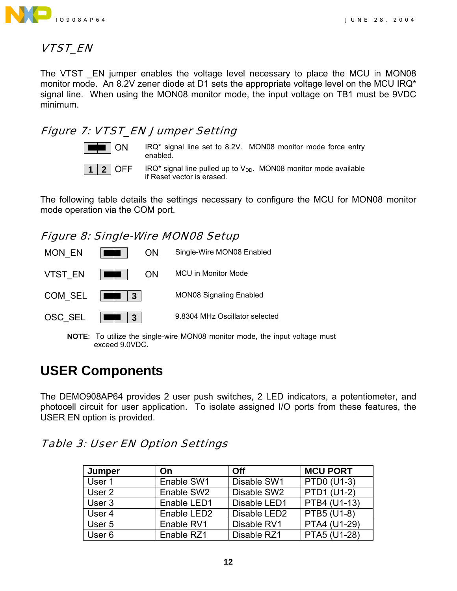

#### <span id="page-11-0"></span>VTST\_EN

The VTST EN jumper enables the voltage level necessary to place the MCU in MON08 monitor mode. An 8.2V zener diode at D1 sets the appropriate voltage level on the MCU IRQ\* signal line. When using the MON08 monitor mode, the input voltage on TB1 must be 9VDC minimum.

#### <span id="page-11-1"></span>Figure 7: VTST\_EN Jumper Setting



 $\blacksquare$   $\blacksquare$  ON  $\blacksquare$  IRQ\* signal line set to 8.2V. MON08 monitor mode force entry enabled.

**1 2** OFF IRQ\* signal line pulled up to  $V_{DD}$ . MON08 monitor mode available if Reset vector is erased.

The following table details the settings necessary to configure the MCU for MON08 monitor mode operation via the COM port.

#### <span id="page-11-2"></span>Figure 8: Single-Wire MON08 Setup



**NOTE**: To utilize the single-wire MON08 monitor mode, the input voltage must exceed 9.0VDC.

## <span id="page-11-3"></span>**USER Components**

The DEMO908AP64 provides 2 user push switches, 2 LED indicators, a potentiometer, and photocell circuit for user application. To isolate assigned I/O ports from these features, the USER EN option is provided.

#### <span id="page-11-4"></span>Table 3: User EN Option Settings

| Jumper | <b>On</b>               | Off                      | <b>MCU PORT</b> |
|--------|-------------------------|--------------------------|-----------------|
| User 1 | Enable SW1              | Disable SW1              | PTD0 (U1-3)     |
| User 2 | Enable SW2              | Disable SW2              | PTD1 (U1-2)     |
| User 3 | Enable LED1             | Disable LED1             | PTB4 (U1-13)    |
| User 4 | Enable LED <sub>2</sub> | Disable LED <sub>2</sub> | PTB5 (U1-8)     |
| User 5 | Enable RV1              | Disable RV1              | PTA4 (U1-29)    |
| User 6 | Enable RZ1              | Disable RZ1              | PTA5 (U1-28)    |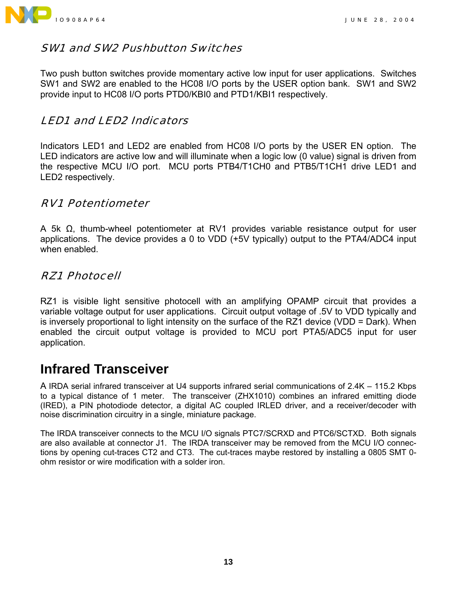

#### <span id="page-12-0"></span>SW1 and SW2 Pushbutton Switches

Two push button switches provide momentary active low input for user applications. Switches SW1 and SW2 are enabled to the HC08 I/O ports by the USER option bank. SW1 and SW2 provide input to HC08 I/O ports PTD0/KBI0 and PTD1/KBI1 respectively.

#### <span id="page-12-1"></span>LED1 and LED2 Indicators

Indicators LED1 and LED2 are enabled from HC08 I/O ports by the USER EN option. The LED indicators are active low and will illuminate when a logic low (0 value) signal is driven from the respective MCU I/O port. MCU ports PTB4/T1CH0 and PTB5/T1CH1 drive LED1 and LED2 respectively.

#### <span id="page-12-2"></span>RV1 Potentiometer

A 5k  $\Omega$ , thumb-wheel potentiometer at RV1 provides variable resistance output for user applications. The device provides a 0 to VDD (+5V typically) output to the PTA4/ADC4 input when enabled.

#### <span id="page-12-3"></span>RZ1 Photocell

RZ1 is visible light sensitive photocell with an amplifying OPAMP circuit that provides a variable voltage output for user applications. Circuit output voltage of .5V to VDD typically and is inversely proportional to light intensity on the surface of the RZ1 device (VDD = Dark). When enabled the circuit output voltage is provided to MCU port PTA5/ADC5 input for user application.

## <span id="page-12-4"></span>**Infrared Transceiver**

A IRDA serial infrared transceiver at U4 supports infrared serial communications of 2.4K – 115.2 Kbps to a typical distance of 1 meter. The transceiver (ZHX1010) combines an infrared emitting diode (IRED), a PIN photodiode detector, a digital AC coupled IRLED driver, and a receiver/decoder with noise discrimination circuitry in a single, miniature package.

The IRDA transceiver connects to the MCU I/O signals PTC7/SCRXD and PTC6/SCTXD. Both signals are also available at connector J1. The IRDA transceiver may be removed from the MCU I/O connections by opening cut-traces CT2 and CT3. The cut-traces maybe restored by installing a 0805 SMT 0 ohm resistor or wire modification with a solder iron.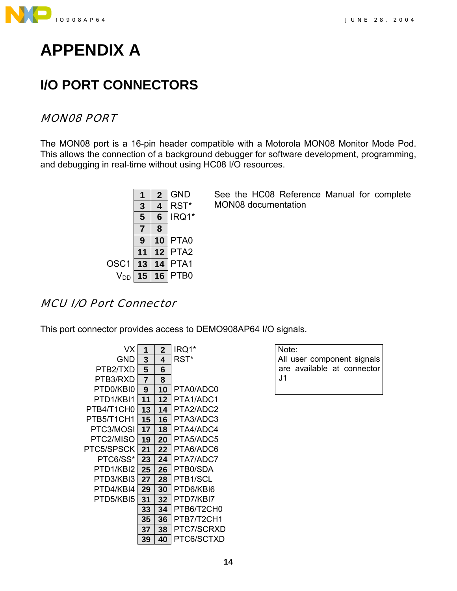

<span id="page-13-0"></span>

## <span id="page-13-1"></span>**I/O PORT CONNECTORS**

#### <span id="page-13-2"></span>MON08 PORT

The MON08 port is a 16-pin header compatible with a Motorola MON08 Monitor Mode Pod. This allows the connection of a background debugger for software development, programming, and debugging in real-time without using HC08 I/O resources.



See the HC08 Reference Manual for complete MON08 documentation

#### <span id="page-13-3"></span>MCU I/O Port Connector

This port connector provides access to DEMO908AP64 I/O signals.

| VX         | 1  | $\mathbf{2}$ | IRQ1*      |
|------------|----|--------------|------------|
| GND        | 3  | 4            | RST*       |
| PTB2/TXD   | 5  | 6            |            |
| PTB3/RXD   | 7  | 8            |            |
| PTD0/KBI0  | 9  | 10           | PTA0/ADC0  |
| PTD1/KBI1  | 11 | 12           | PTA1/ADC1  |
| PTB4/T1CH0 | 13 | 14           | PTA2/ADC2  |
| PTB5/T1CH1 | 15 | 16           | PTA3/ADC3  |
| PTC3/MOSI  | 17 | 18           | PTA4/ADC4  |
| PTC2/MISO  | 19 | 20           | PTA5/ADC5  |
| PTC5/SPSCK | 21 | 22           | PTA6/ADC6  |
| PTC6/SS*   | 23 | 24           | PTA7/ADC7  |
| PTD1/KBI2  | 25 | 26           | PTB0/SDA   |
| PTD3/KBI3  | 27 | 28           | PTB1/SCL   |
| PTD4/KBI4  | 29 | 30           | PTD6/KBI6  |
| PTD5/KBI5  | 31 | 32           | PTD7/KBI7  |
|            | 33 | 34           | PTB6/T2CH0 |
|            | 35 | 36           | PTB7/T2CH1 |
|            | 37 | 38           | PTC7/SCRXD |
|            | 39 | 40           | PTC6/SCTXD |
|            |    |              |            |

Note: All user component signals are available at connector J1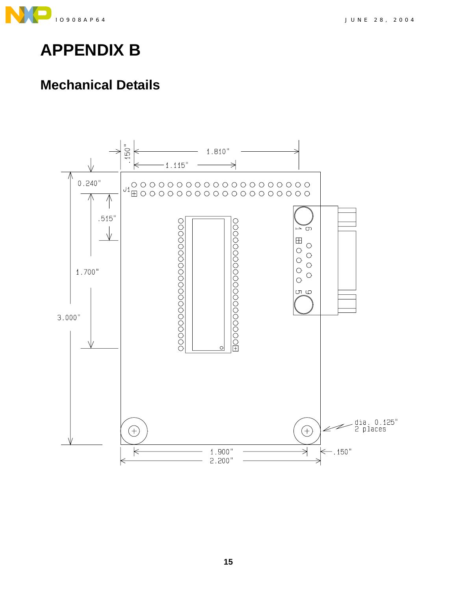

<span id="page-14-0"></span>

# <span id="page-14-1"></span>**Mechanical Details**